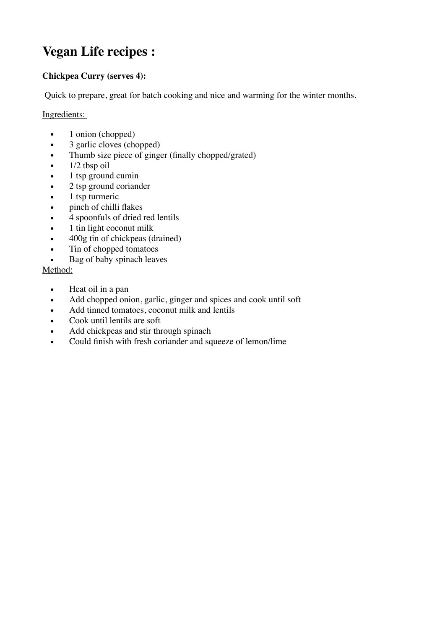# **Vegan Life recipes :**

## **Chickpea Curry (serves 4):**

Quick to prepare, great for batch cooking and nice and warming for the winter months.

### Ingredients:

- 1 onion (chopped)
- 3 garlic cloves (chopped)
- Thumb size piece of ginger (finally chopped/grated)
- 1/2 tbsp oil
- 1 tsp ground cumin
- 2 tsp ground coriander
- 1 tsp turmeric
- pinch of chilli flakes
- 4 spoonfuls of dried red lentils
- 1 tin light coconut milk
- 400g tin of chickpeas (drained)
- Tin of chopped tomatoes
- Bag of baby spinach leaves

#### Method:

- Heat oil in a pan
- Add chopped onion, garlic, ginger and spices and cook until soft
- Add tinned tomatoes, coconut milk and lentils
- Cook until lentils are soft
- Add chickpeas and stir through spinach
- Could finish with fresh coriander and squeeze of lemon/lime